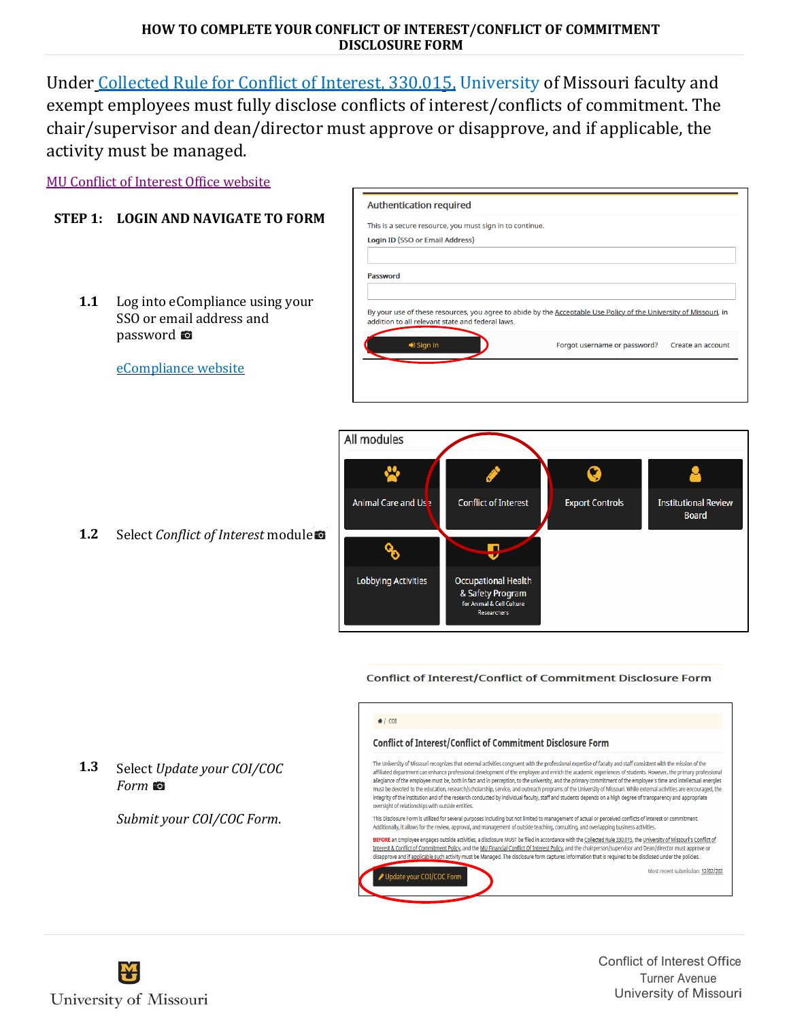# **HOW TO COMPLETE YOUR CONFLICT OF INTEREST/CONFLICT OF COMMITMENT DISCLOSURE FORM**

Under Collected Rule [for Conflict](https://www.umsystem.edu/ums/rules/collected_rules/personnel/ch330/330.015_policy_on_conflict_of_interest) of Interest, 330.015, University of Missouri faculty and exempt employees must fully disclose conflicts of interest/conflicts of commitment. The chair/supervisor and dean/director must approve or disapprove, and if applicable, the activity must be managed.

**Authentication required** 

Update your COI/COC Form

MU Conflict of Interest [Office website](https://research.missouri.edu/index.php/conflict-of-interest)

# **STEP 1: LOGIN AND NAVIGATE TO FORM**

- **1.1** Log into eCompliance using your SSO or email address and password
- This is a secure resource, you must sign in to continue. **Login ID (SSO or Email Address)** Password By your use of these resources, you agree to abide by the Acceptable Use Policy of the University of Missouri, in addition to all relevant state and federal laws.  $\blacklozenge$  Sign in Forgot username or password? Create an account



**Conflict of Interest/Conflict of Commitment Disclosure Form** 





**1.3** Select *Update your COI/COC Form*

*Submit your COI/COC Form*.



Conflict of Interest Office Turner Avenue University of Missouri

Select *Conflict of Interest* module

[eCompliance website](https://ecompliance.missouri.edu/login)

**1.2**